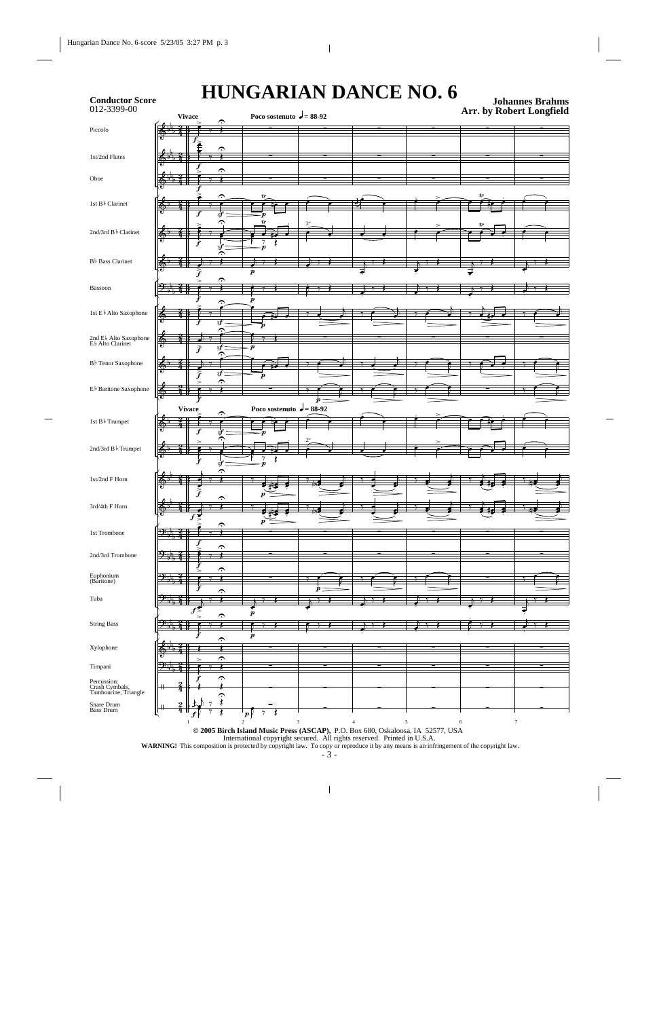## **HUNGARIAN DANCE NO. 6 Johannes Brahms**

**Conductor Score**

**Arr. by Robert Longfield**

| 012-3399-00                                                          | <b>Vivace</b>                                                 | Poco sostenuto $\rightarrow$ = 88-92                    |                    |   |   |   | Arr. by Robert Longfield |
|----------------------------------------------------------------------|---------------------------------------------------------------|---------------------------------------------------------|--------------------|---|---|---|--------------------------|
| Piccolo                                                              |                                                               | ⌒                                                       |                    |   |   |   |                          |
| 1st/2nd Flutes                                                       | $f_{\scriptscriptstyle >}$                                    | $\widehat{\phantom{a}}$                                 |                    |   |   |   |                          |
| $\rm Oboe$                                                           |                                                               | ⌒                                                       |                    |   |   |   |                          |
| 1st B $\frac{1}{2}$ Clarinet                                         |                                                               |                                                         |                    |   |   |   |                          |
| $2$ nd/3rd B $\flat$ Clarinet                                        |                                                               | n<br>S)                                                 |                    |   |   |   |                          |
| $\rm B\,b$ Bass Clarinet                                             |                                                               | $\widehat{\phantom{a}}$<br>$\boldsymbol{p}$             |                    |   |   |   |                          |
| Bassoon                                                              | $2$ ) $\frac{1}{2}$ )                                         | چ<br>p                                                  |                    |   |   |   |                          |
| $1$ st E $\flat$ Alto Saxophone                                      | ∳<br>7<br>f                                                   | sf                                                      |                    |   |   |   |                          |
| 2nd Eb Alto Saxophone<br>Eb Alto Clarinet                            | $\frac{2}{4}$<br>$\clubsuit$<br>₹                             | r.<br>$\boldsymbol{p}$<br>sf                            |                    |   |   |   |                          |
| $\mathbf{B}\flat$ Tenor Saxophone                                    | 4<br>7                                                        | sf<br>$\boldsymbol{p}$                                  |                    |   |   |   |                          |
| $\operatorname{\mathsf{E}}\nolimits^{\mathsf{b}}$ Baritone Saxophone | $\frac{2}{4}$<br>≹                                            | $\widehat{\phantom{a}}$                                 | $\boldsymbol{p}$   |   |   |   |                          |
| 1st B $\frac{1}{2}$ Trumpet                                          | <b>Vivace</b>                                                 | Poco sostenuto $\rightarrow$ = 88-92<br>r.,             |                    |   |   |   |                          |
| $2$ nd/3rd B $\flat$ Trumpet                                         |                                                               | sf<br>G                                                 |                    |   |   |   |                          |
| 1st/2nd F Horn                                                       | $9 + 2$<br>\$<br>$\widehat{\widehat{f}}$                      | sf<br>$\widehat{\phantom{a}}$                           |                    |   |   |   |                          |
| $3 \mathrm{rd}/4 \mathrm{th} \; \mathrm{F}$ Horn                     |                                                               | <b>n</b><br>⌒                                           |                    |   |   |   |                          |
| 1st Trombone                                                         | $\mathcal{P}_{\mathbb{F}_{2}}$<br>牽<br>f                      | ⌒                                                       |                    |   |   |   |                          |
| 2nd/3rd Trombone                                                     | $\mathcal{F} \mathcal{G}, \mathcal{G}$                        | $\curvearrowright$                                      |                    |   |   |   |                          |
| Euphonium<br>(Baritone)                                              | $\mathfrak{P}_{\mathfrak{p}_{\mathfrak{p}}}$<br>$\frac{2}{4}$ | $\widehat{\phantom{a}}$                                 | $\boldsymbol{p}$ = |   |   |   |                          |
| Tuba                                                                 | $2\,\sharp,\,\zeta$<br>$f^{\bullet}$                          | $\widehat{\phantom{a}}$                                 |                    |   |   |   |                          |
| <b>String Bass</b>                                                   | $\frac{2}{4}$<br>$\mathfrak{P}_{\mathbb{H}}$                  | p<br>$\widehat{\phantom{a}}$<br>$\boldsymbol{p}$        |                    |   |   |   |                          |
| Xylophone                                                            |                                                               | $\widehat{\phantom{a}}$<br>$\curvearrowright$           |                    |   |   |   |                          |
| Timpani                                                              | $\mathbf{\partial}$                                           |                                                         |                    |   |   |   |                          |
| Percussion:<br>Crash Cymbals,<br>Tambourine, Triangle                | f<br>$\frac{2}{4}$<br>╫                                       | $\widehat{\phantom{a}}$<br>⌒                            |                    |   |   |   |                          |
| Snare Drum<br>Bass Drum                                              | 7                                                             | ₹<br>ł<br>₹<br>$\gamma$<br>$\bm{p}$ [<br>$\overline{c}$ | $\mathfrak{Z}$     | 4 | 5 | 6 | $\tau$                   |

2005 Birch Island Music Press (ASCAP), P.O. Box 680, Oskaloosa, IA 52577, USA International copyright secured. All rights reserved. Printed in U.S.A. WARNING! This composition is protected by copyright law. To copy or reproduce it by any means is an infringement of the copyright law. **© 2005 Birch Island Music Press (ASCAP),**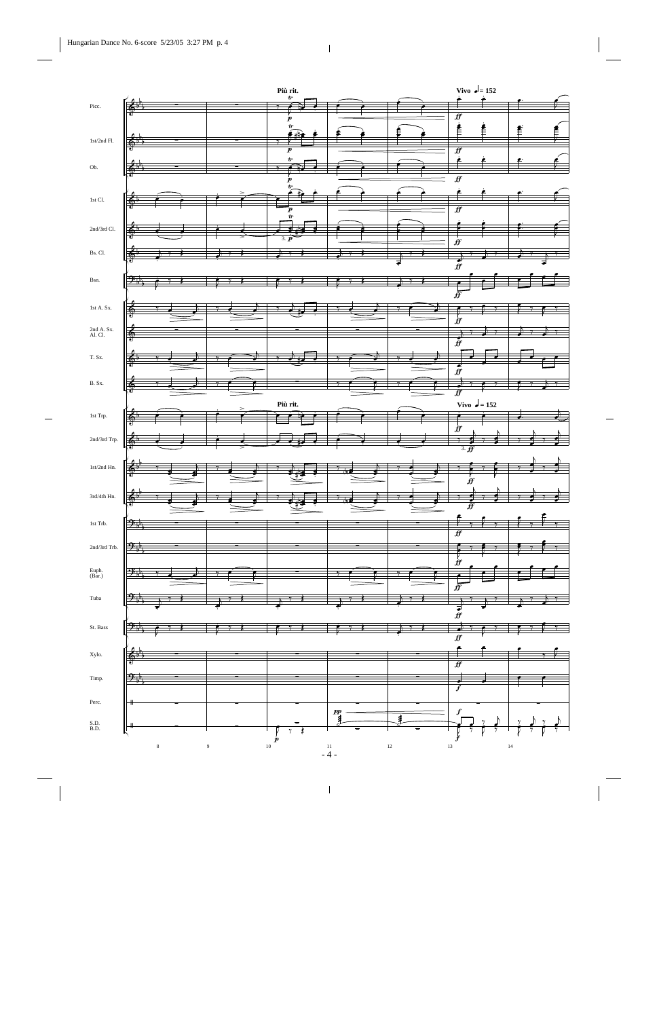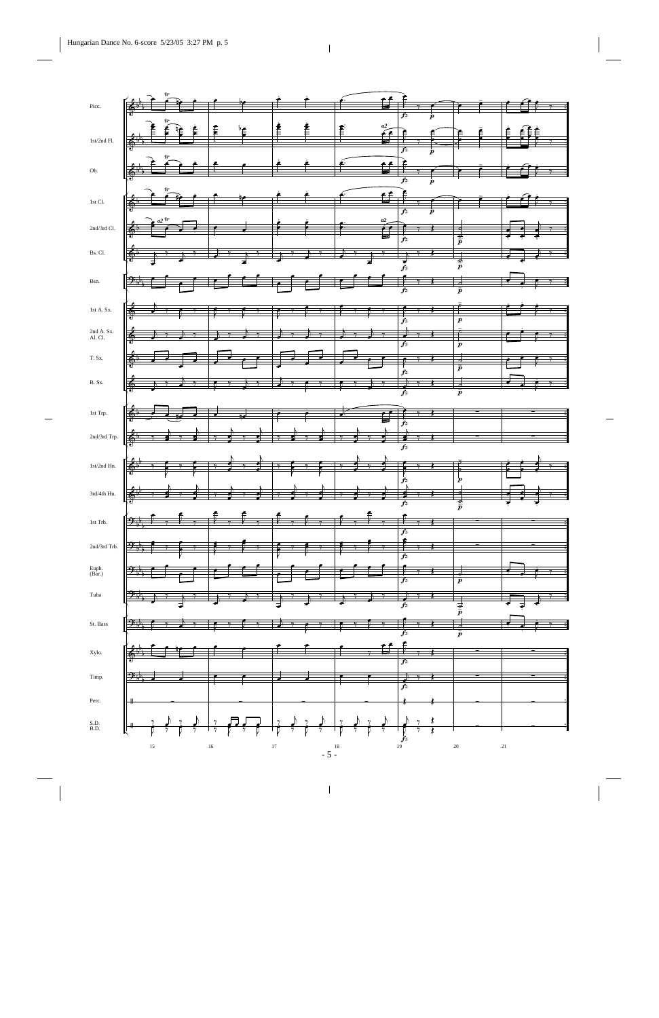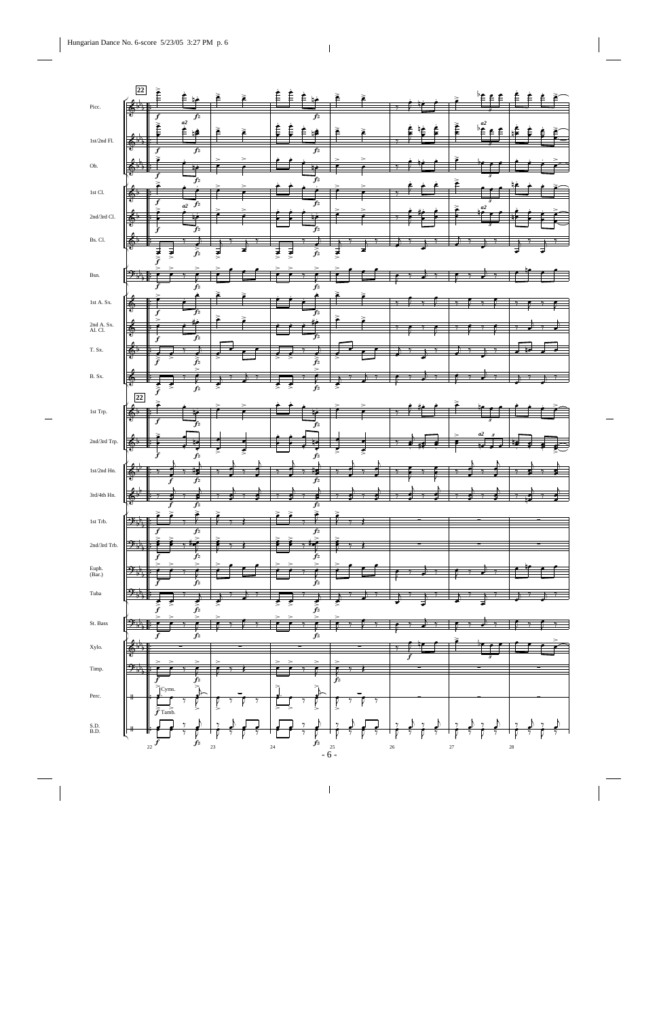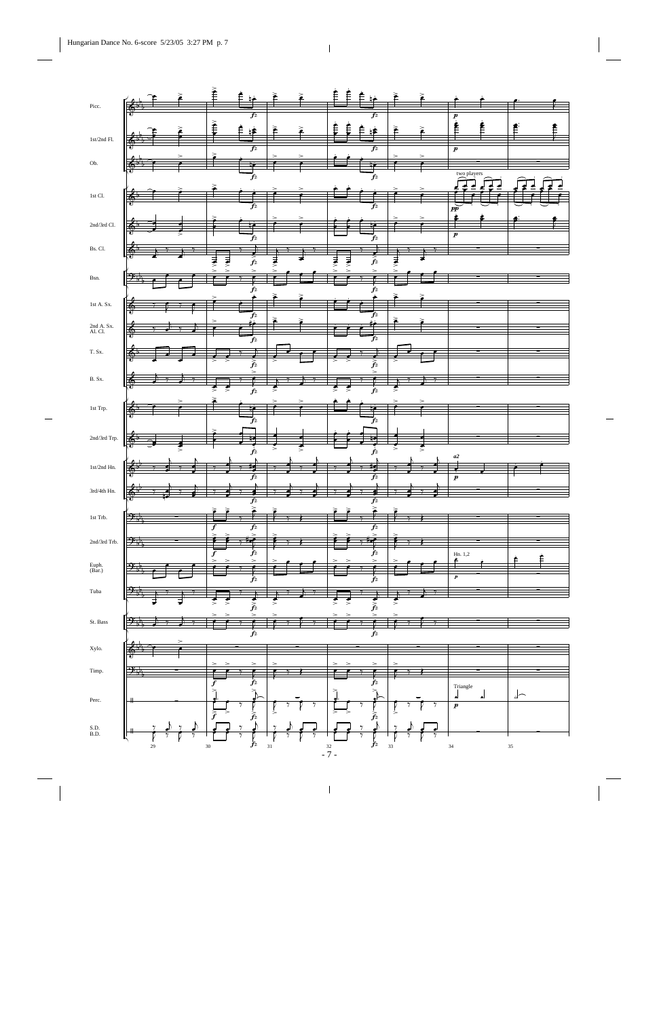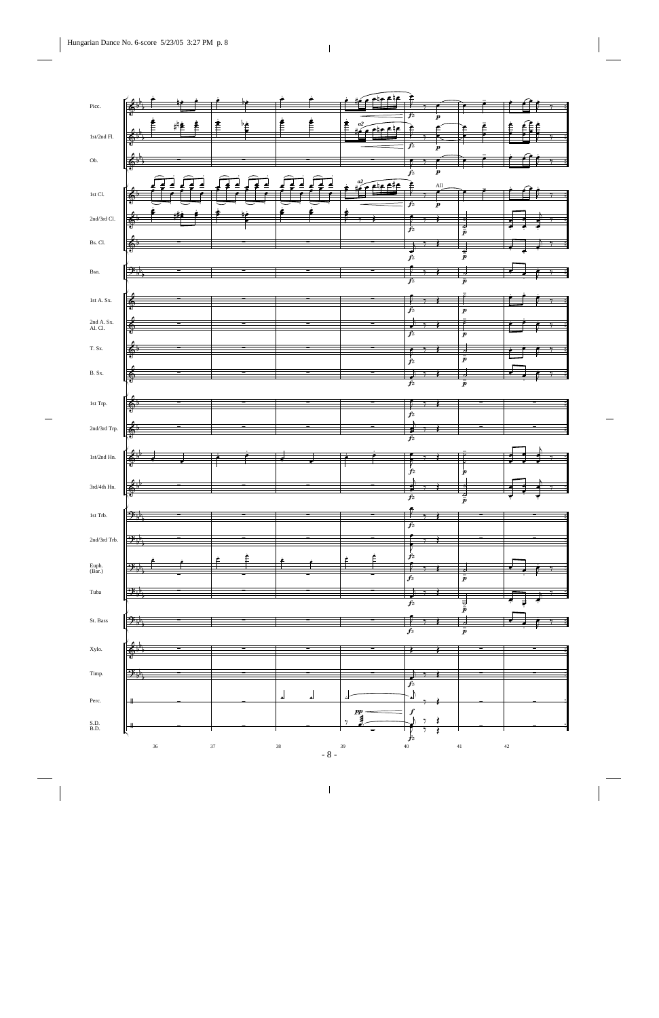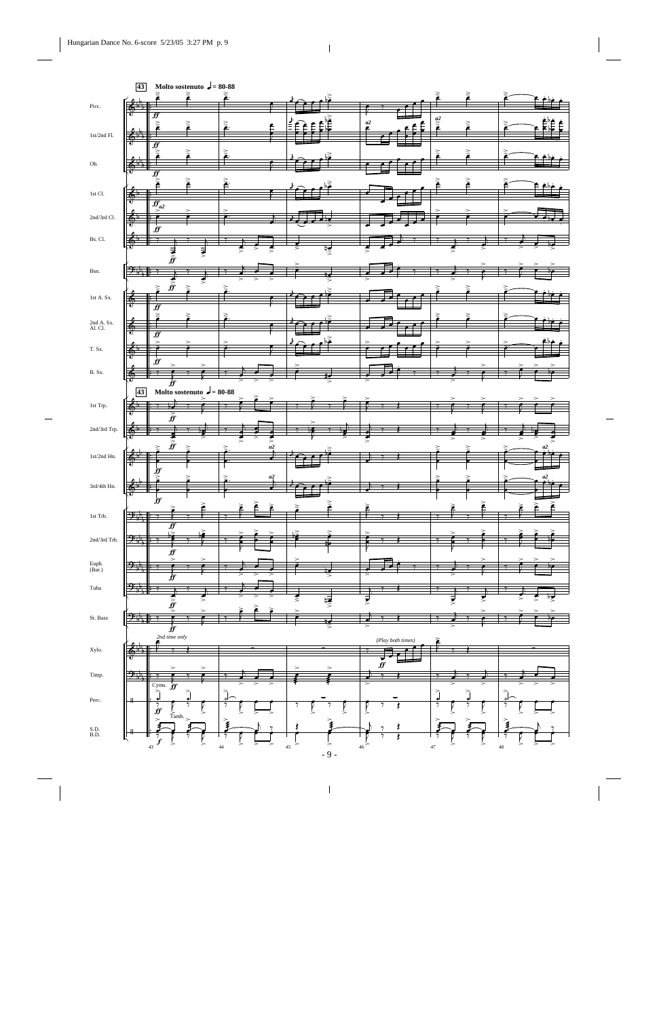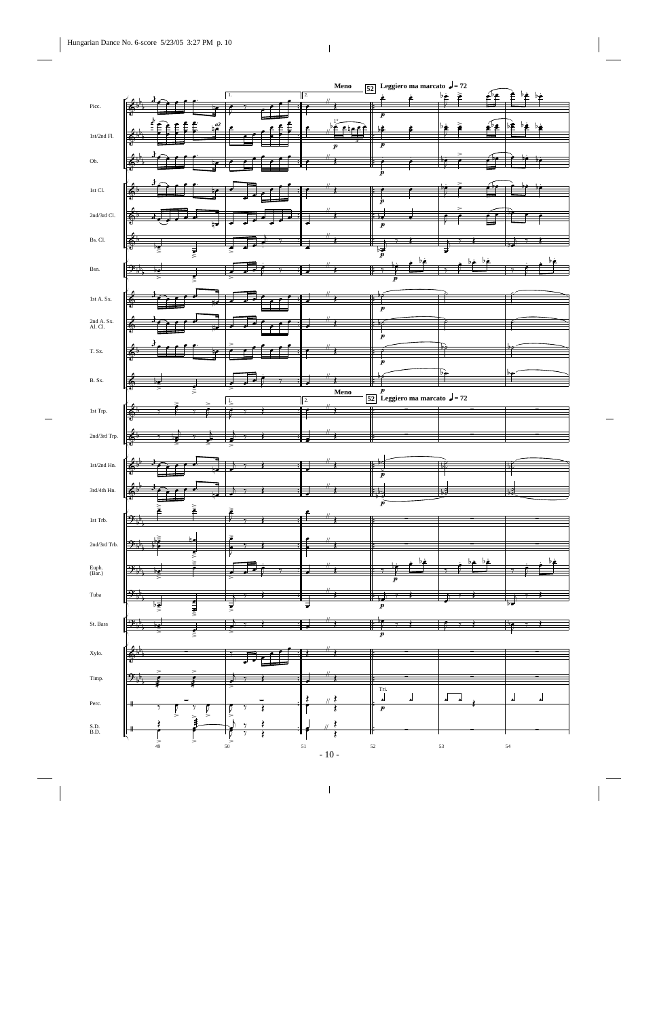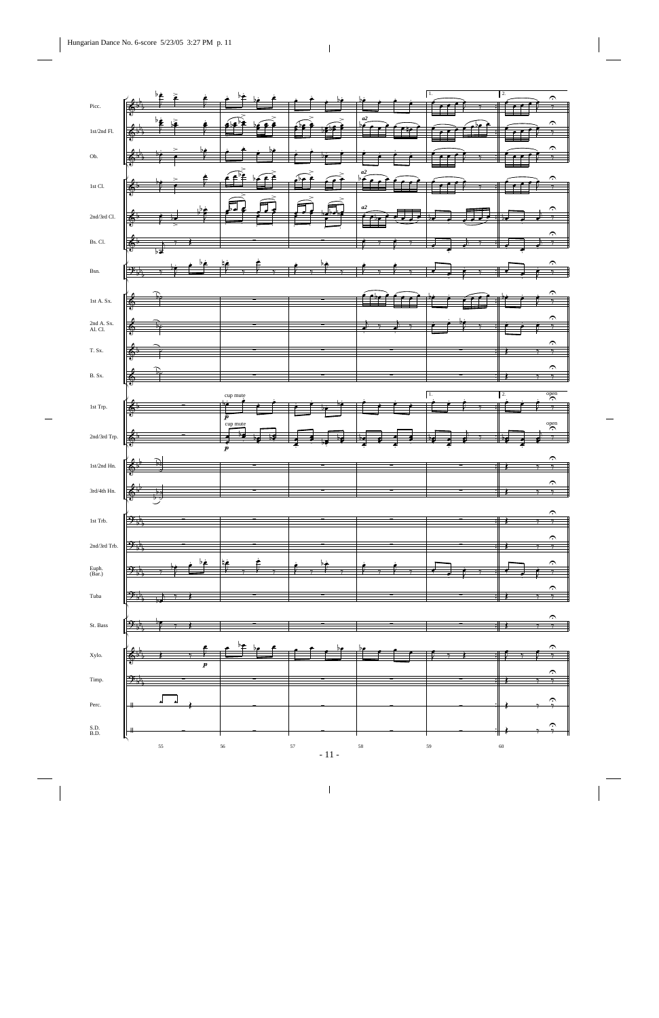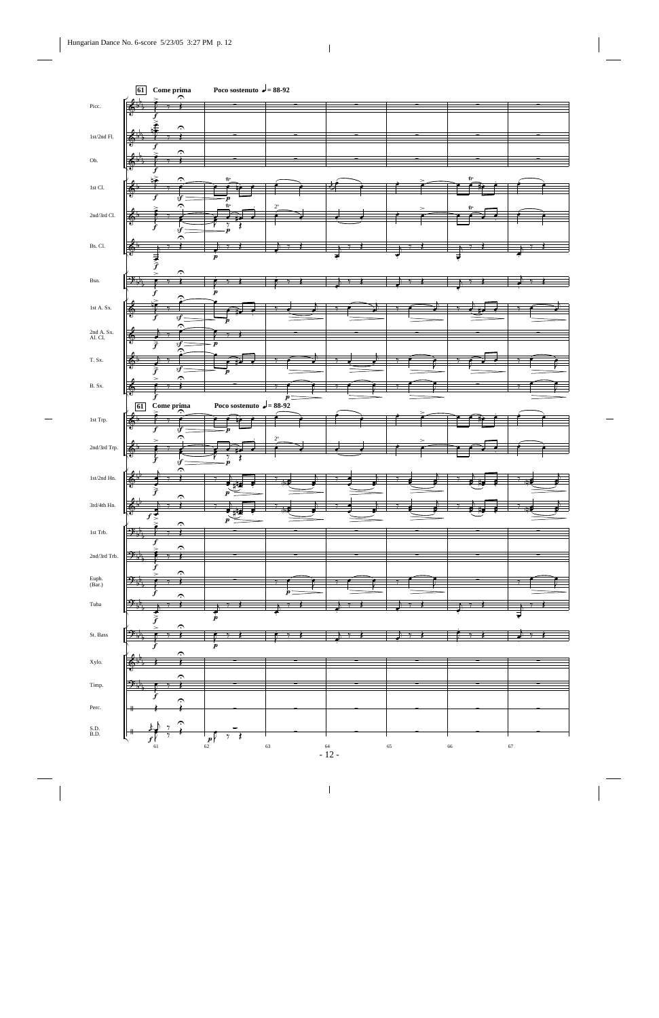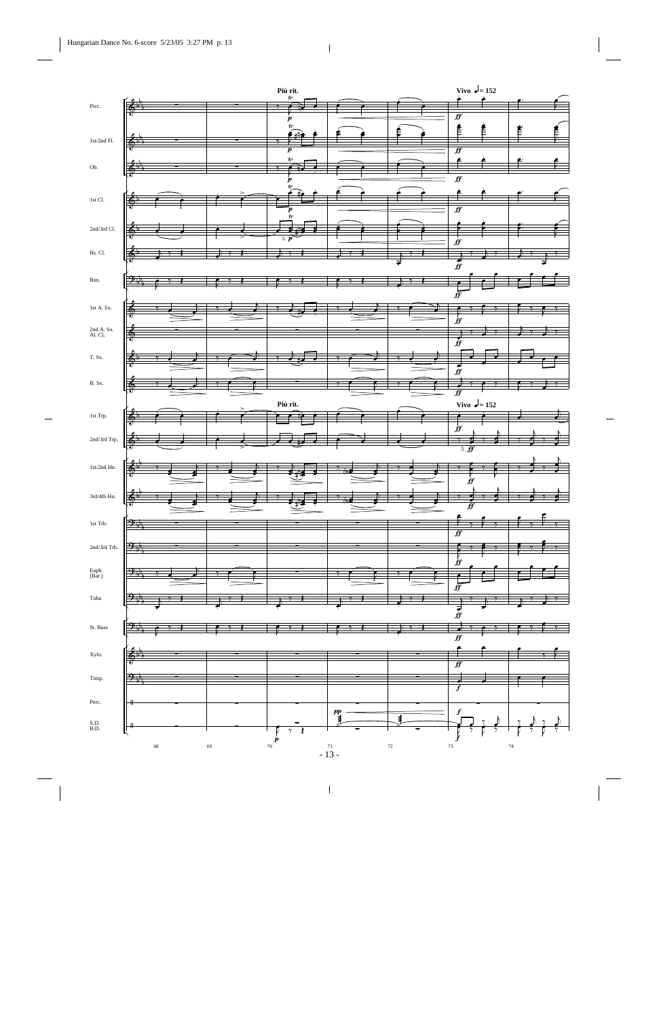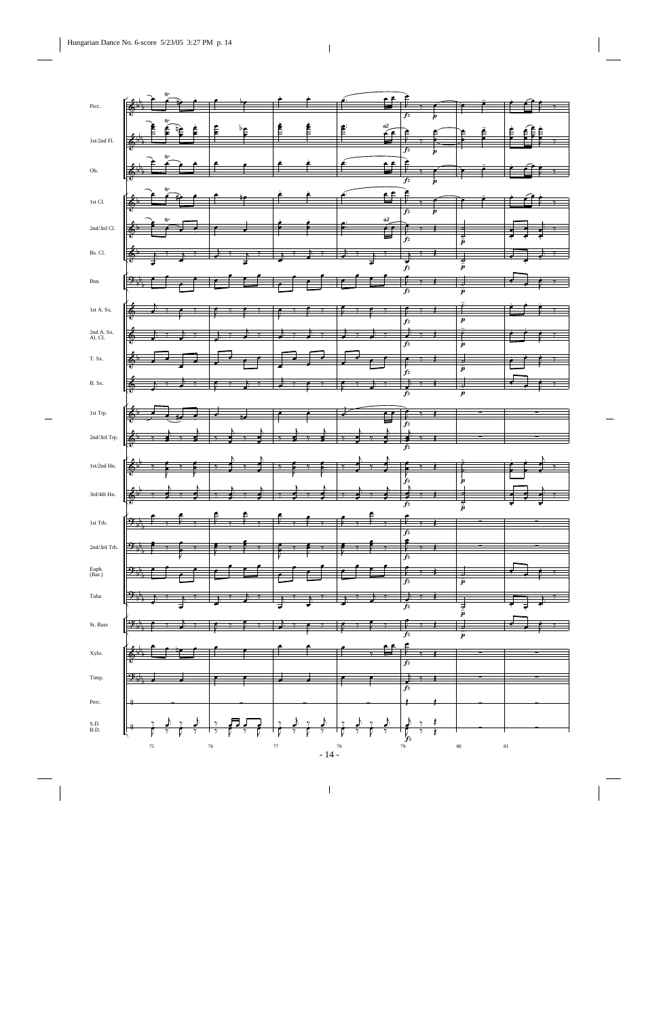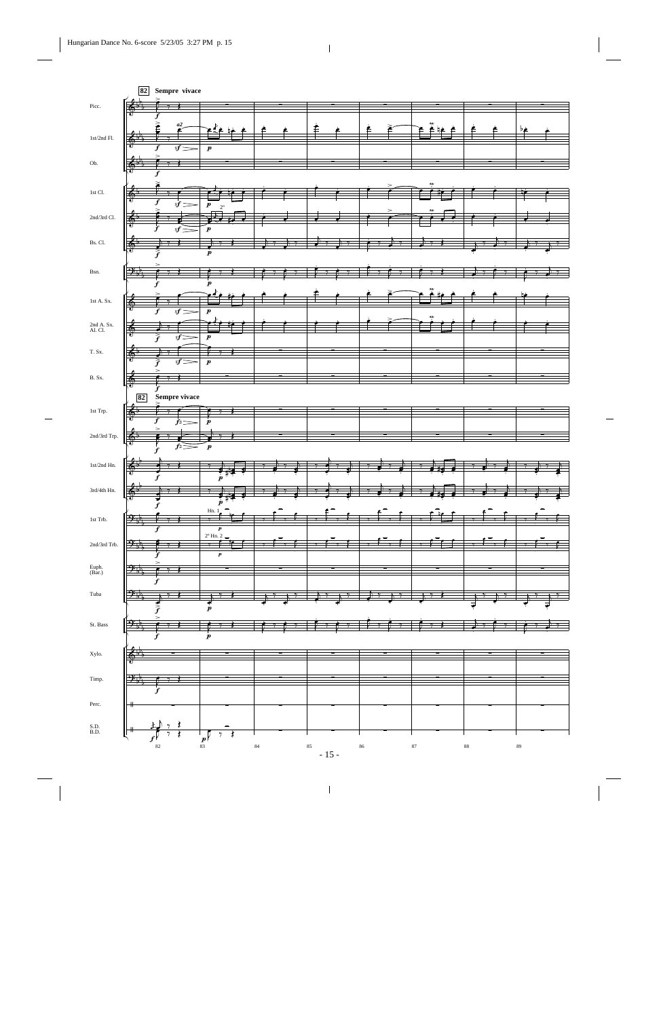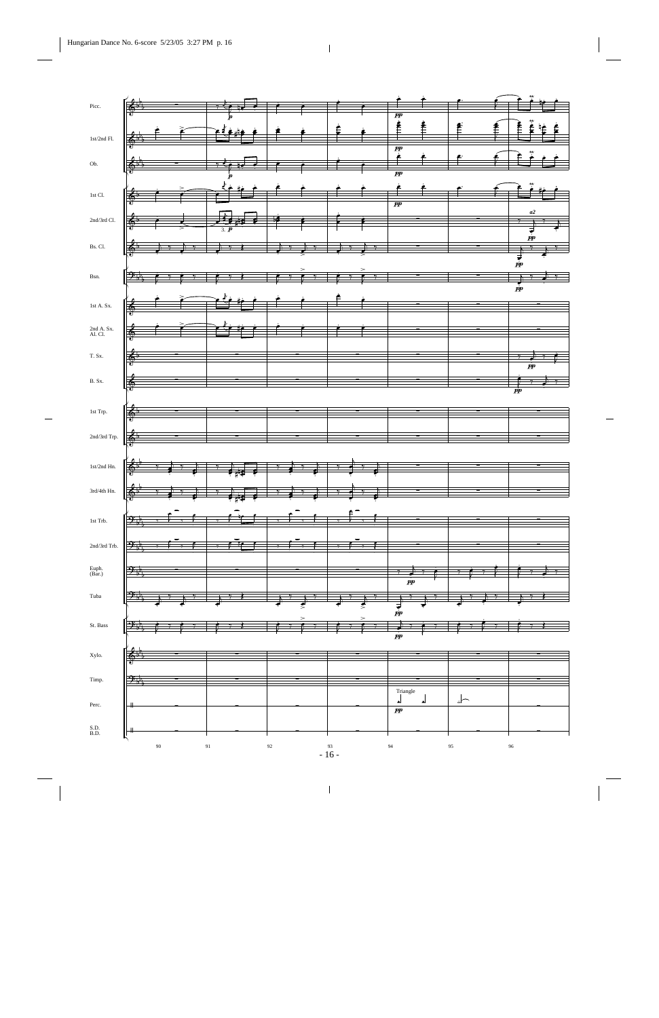![](_page_13_Figure_0.jpeg)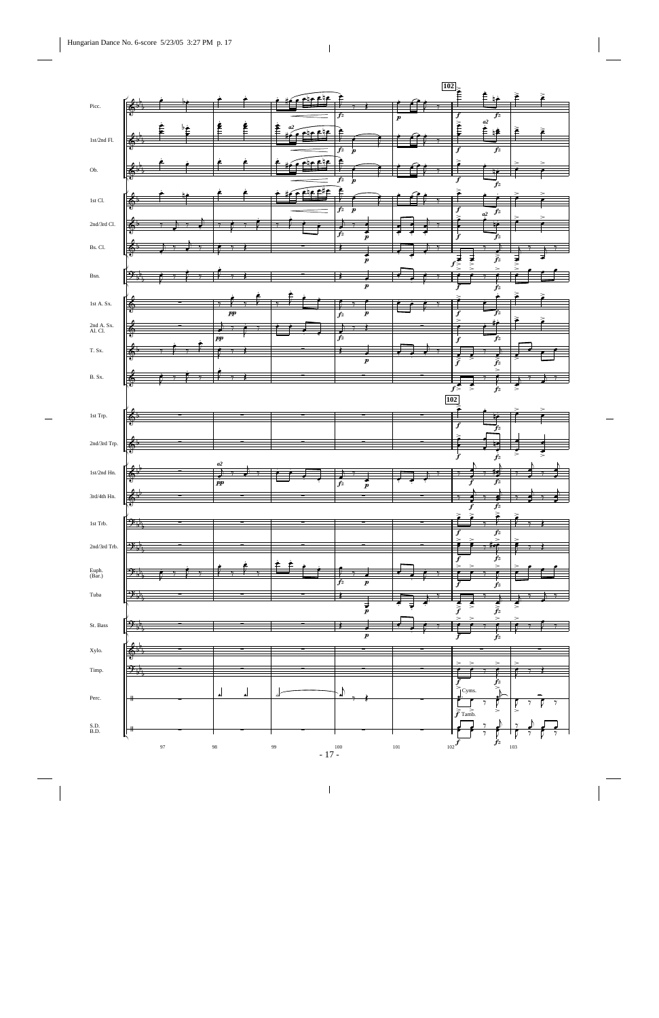![](_page_14_Figure_0.jpeg)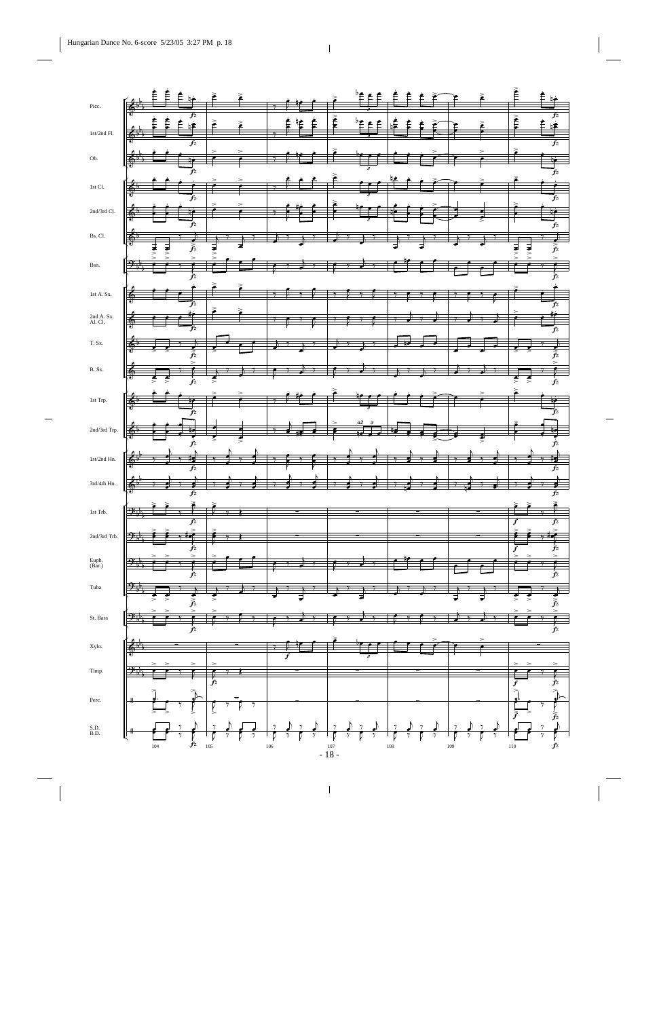![](_page_15_Figure_0.jpeg)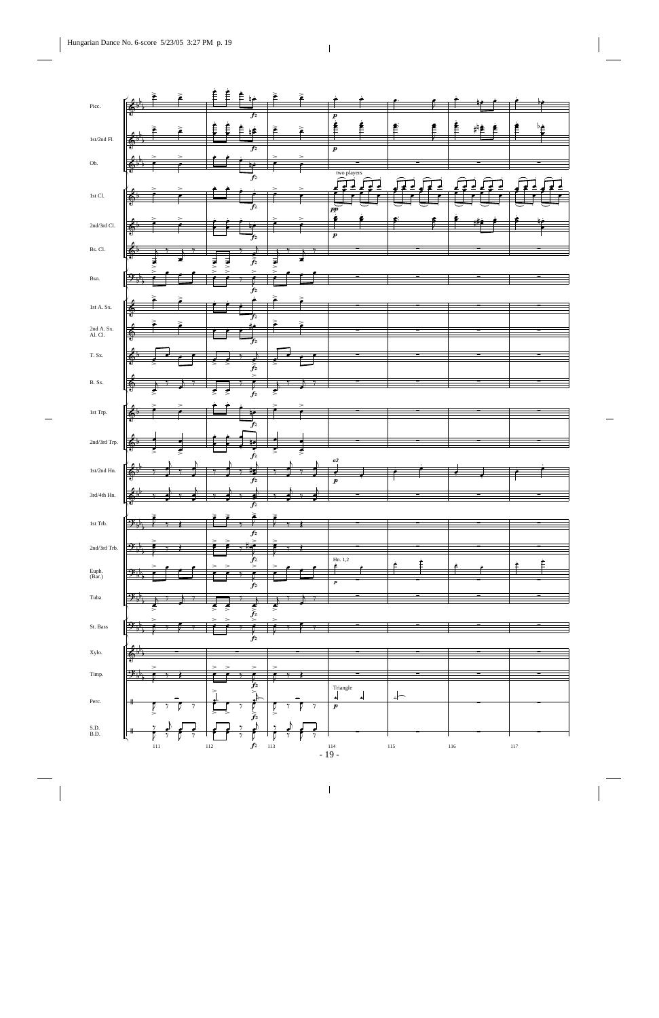![](_page_16_Figure_0.jpeg)